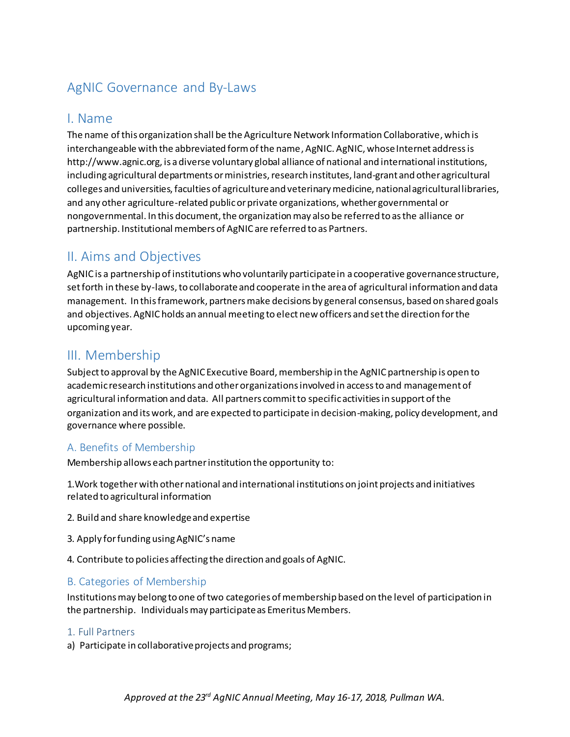# AgNIC Governance and By-Laws

## I. Name

The name of this organization shall be the Agriculture Network Information Collaborative, which is interchangeable with the abbreviated form of the name, AgNIC. AgNIC, whose Internet address is http://www.agnic.org, is a diverse voluntary global alliance of national and international institutions, including agricultural departments or ministries, research institutes, land-grant and other agricultural colleges and universities, faculties of agriculture and veterinary medicine, national agricultural libraries, and any other agriculture-related public or private organizations, whether governmental or nongovernmental. In this document, the organization may also be referred to as the alliance or partnership. Institutional members of AgNIC are referred to as Partners.

## II. Aims and Objectives

AgNIC is a partnership of institutions who voluntarily participate in a cooperative governance structure, set forth in these by-laws, to collaborate and cooperate in the area of agricultural information and data management. In this framework, partners make decisions by general consensus, based on shared goals and objectives. AgNIC holds an annual meeting to elect new officers and set the direction for the upcoming year.

## III. Membership

Subject to approval by the AgNIC Executive Board, membership in the AgNIC partnership is open to academic research institutions and other organizations involved in access to and management of agricultural information and data. All partners commit to specific activities in support of the organization and its work, and are expected to participate in decision-making, policy development, and governance where possible.

## A. Benefits of Membership

Membership allows each partner institution the opportunity to:

1.Work togetherwith other national and international institutions on joint projects and initiatives related to agricultural information

- 2. Build and share knowledge and expertise
- 3. Apply for funding using AgNIC's name
- 4. Contribute to policies affecting the direction and goals of AgNIC.

## B. Categories of Membership

Institutions may belong to one of two categories of membership based on the level of participation in the partnership. Individuals may participate as Emeritus Members.

### 1. Full Partners

a) Participate in collaborative projects and programs;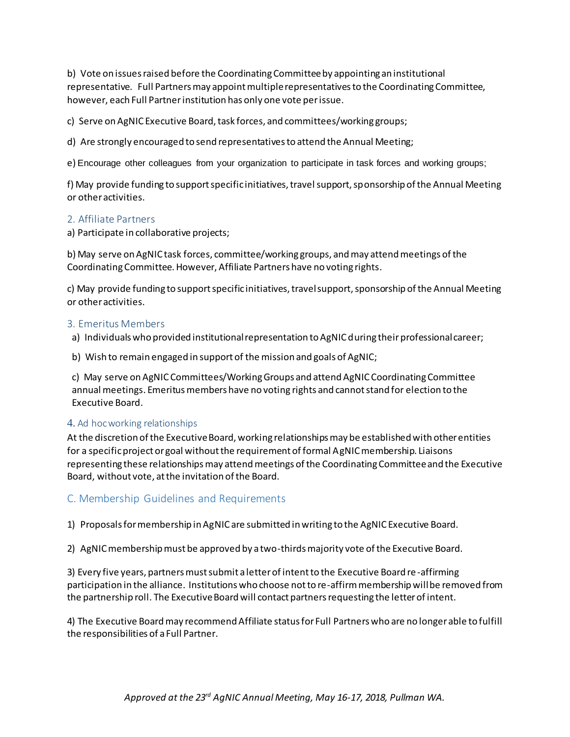b) Vote on issues raised before the Coordinating Committee by appointing an institutional representative. Full Partners may appoint multiple representatives to the Coordinating Committee, however, each Full Partner institution has only one vote per issue.

c) Serve on AgNIC Executive Board, task forces, and committees/working groups;

d) Are strongly encouraged to send representatives to attend the Annual Meeting;

e) Encourage other colleagues from your organization to participate in task forces and working groups;

f) May provide funding to support specific initiatives, travel support, sponsorship of the Annual Meeting or other activities.

#### 2. Affiliate Partners

a) Participate in collaborative projects;

b) May serve on AgNIC task forces, committee/working groups, and may attend meetings of the Coordinating Committee. However, Affiliate Partners have no voting rights.

c) May provide funding to support specific initiatives, travel support, sponsorship of the Annual Meeting or other activities.

#### 3. Emeritus Members

a) Individuals who provided institutional representation to AgNIC during their professional career;

b) Wish to remain engaged in support of the mission and goals of AgNIC;

c) May serve on AgNIC Committees/Working Groups and attend AgNIC Coordinating Committee annual meetings. Emeritus members have no voting rights and cannot stand for election to the Executive Board.

#### 4. Ad hoc working relationships

At the discretion of the Executive Board, working relationships may be established with other entities for a specific project or goal without the requirement of formal AgNIC membership. Liaisons representing these relationships may attend meetings of the Coordinating Committee and the Executive Board, without vote, at the invitation of the Board.

### C. Membership Guidelines and Requirements

1) Proposals for membership in AgNIC are submitted in writing to the AgNIC Executive Board.

2) AgNIC membership must be approved by a two-thirds majority vote of the Executive Board.

3) Every five years, partners must submit a letter of intent to the Executive Board re-affirming participation in the alliance. Institutions who choose not to re-affirm membership will be removed from the partnership roll. The Executive Board will contact partners requesting the letter of intent.

4) The Executive Board may recommend Affiliate status for Full Partners who are no longer able to fulfill the responsibilities of a Full Partner.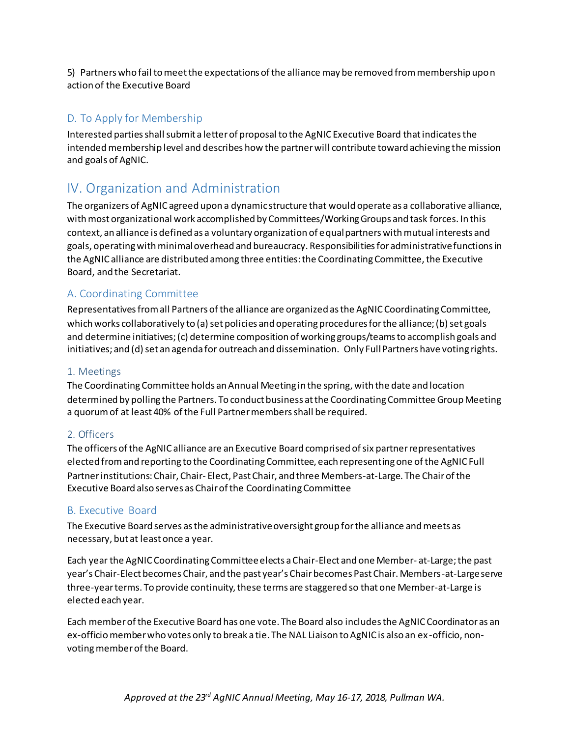5) Partners who fail to meet the expectations of the alliance may be removed from membership upon action of the Executive Board

## D. To Apply for Membership

Interested partiesshall submit a letter of proposal to the AgNIC Executive Board that indicates the intended membership level and describes how the partner will contribute toward achieving the mission and goals of AgNIC.

# IV. Organization and Administration

The organizers of AgNIC agreed upon a dynamic structure that would operate as a collaborative alliance, with most organizational work accomplished by Committees/Working Groups and task forces. In this context, an alliance is defined as a voluntary organization of equal partners with mutual interests and goals, operating with minimal overhead and bureaucracy. Responsibilities for administrative functions in the AgNIC alliance are distributed among three entities: the Coordinating Committee, the Executive Board, and the Secretariat.

## A. Coordinating Committee

Representatives from all Partners of the alliance are organized as the AgNIC Coordinating Committee, which works collaboratively to (a) set policies and operating procedures for the alliance; (b) set goals and determine initiatives; (c) determine composition of working groups/teams to accomplish goals and initiatives; and (d) set an agenda for outreach and dissemination. Only Full Partners have voting rights.

## 1. Meetings

The Coordinating Committee holds an Annual Meeting in the spring, with the date and location determined by polling the Partners. To conduct business at the Coordinating Committee Group Meeting a quorum of at least 40% of the Full Partner members shall be required.

### 2. Officers

The officers of the AgNIC alliance are an Executive Board comprised of six partner representatives elected from and reporting to the Coordinating Committee, each representing one of the AgNIC Full Partner institutions: Chair, Chair- Elect, Past Chair, and three Members-at-Large. The Chair of the Executive Board also serves as Chair of the Coordinating Committee

### B. Executive Board

The Executive Board serves as the administrative oversight group for the alliance and meets as necessary, but at least once a year.

Each year the AgNIC Coordinating Committee elects a Chair-Elect and one Member- at-Large; the past year's Chair-Elect becomes Chair, and the past year's Chair becomes Past Chair. Members-at-Large serve three-year terms. To provide continuity, these terms are staggered so that one Member-at-Large is elected each year.

Each member of the Executive Board has one vote. The Board also includes the AgNIC Coordinator as an ex-officio member who votes only to break a tie. The NAL Liaison to AgNIC is also an ex -officio, nonvoting member of the Board.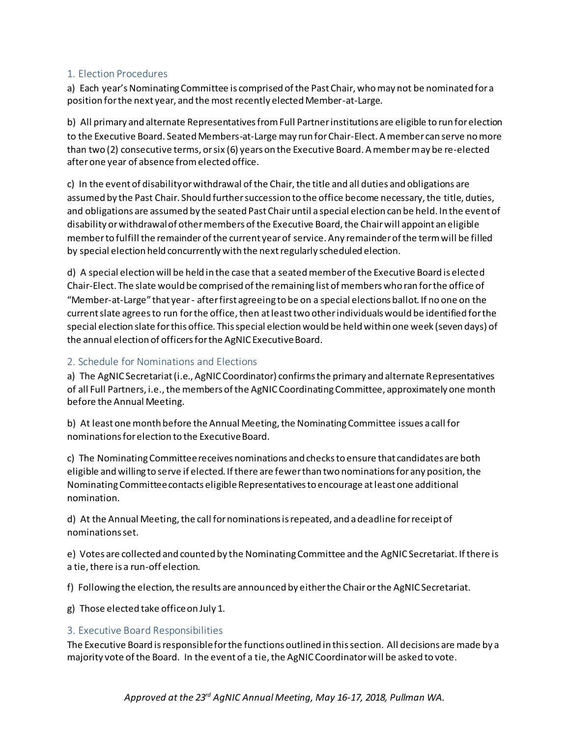#### 1. Election Procedures

a) Each year's Nominating Committee is comprised of the Past Chair, who may not be nominated for a position for the next year, and the most recently elected Member-at-Large.

b) All primary and alternate Representatives from Full Partner institutions are eligible to run for election to the Executive Board. Seated Members-at-Large may run for Chair-Elect. A member can serve no more than two (2) consecutive terms, or six (6) years on the Executive Board. A member may be re-elected after one year of absence from elected office.

c) In the event of disability or withdrawal of the Chair, the title and all duties and obligations are assumed by the Past Chair. Should further succession to the office become necessary, the title, duties, and obligations are assumed by the seated Past Chair until a special election can be held. In the event of disability or withdrawal of other members of the Executive Board, the Chair will appoint an eligible member to fulfill the remainder of the current year of service. Any remainder of the term will be filled by special election held concurrently with the next regularly scheduled election.

d) A special election will be held in the case that a seated member of the Executive Board is elected Chair-Elect. The slate would be comprised of the remaining list of members who ran for the office of "Member-at-Large" that year - after first agreeing to be on a special elections ballot. If no one on the current slate agrees to run for the office, then at least two other individuals would be identified for the special election slate for this office. This special election would be held within one week (seven days) of the annual election of officers for the AgNIC Executive Board.

### 2. Schedule for Nominations and Elections

a) The AgNIC Secretariat (i.e., AgNIC Coordinator) confirms the primary and alternate Representatives of all Full Partners, i.e., the members of the AgNIC Coordinating Committee, approximately one month before the Annual Meeting.

b) At least one month before the Annual Meeting, the Nominating Committee issues a call for nominations for election to the Executive Board.

c) The Nominating Committee receives nominations and checks to ensure that candidates are both eligible and willing to serve if elected. If there are fewer than two nominations for any position, the Nominating Committee contacts eligible Representatives to encourage at least one additional nomination.

d) At the Annual Meeting, the call for nominations is repeated, and a deadline for receipt of nominations set.

e) Votes are collected and counted by the Nominating Committee and the AgNIC Secretariat. If there is a tie, there is a run-off election.

f) Following the election, the results are announced by either the Chair or the AgNIC Secretariat.

g) Those elected take office on July 1.

#### 3. Executive Board Responsibilities

The Executive Board is responsible for the functions outlined in this section. All decisions are made by a majority vote of the Board. In the event of a tie, the AgNIC Coordinator will be asked to vote.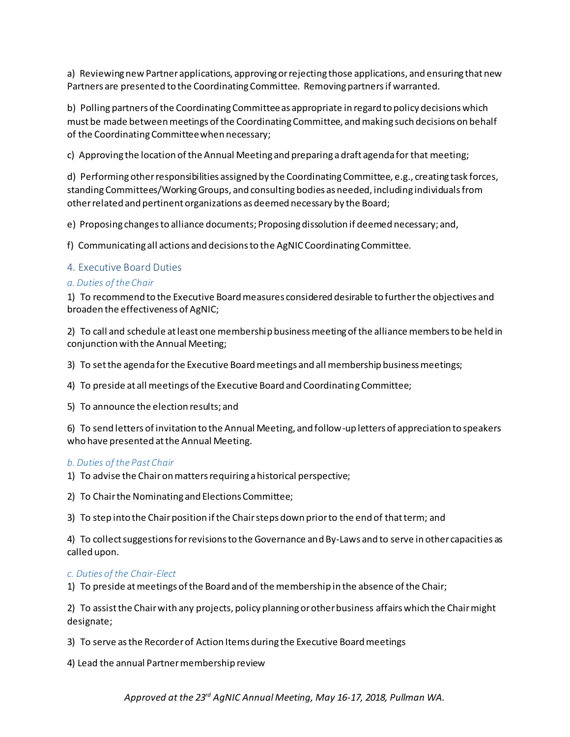a) Reviewing new Partner applications, approving or rejecting those applications, and ensuring that new Partners are presented to the Coordinating Committee. Removing partners if warranted.

b) Polling partners of the Coordinating Committee as appropriate in regard to policy decisions which must be made between meetings of the Coordinating Committee, and making such decisions on behalf of the Coordinating Committee when necessary;

c) Approving the location of the Annual Meeting and preparing a draft agenda for that meeting;

d) Performing other responsibilities assigned by the Coordinating Committee, e.g., creating task forces, standing Committees/Working Groups, and consulting bodies as needed, including individuals from other related and pertinent organizations as deemed necessary by the Board;

e) Proposing changes to alliance documents; Proposing dissolution if deemed necessary; and,

f) Communicating all actions and decisions to the AgNIC Coordinating Committee.

#### 4. Executive Board Duties

#### *a. Duties of the Chair*

1) To recommend to the Executive Board measures considered desirable to further the objectives and broaden the effectiveness of AgNIC;

2) To call and schedule at least one membership business meeting of the alliance members to be held in conjunction with the Annual Meeting;

3) To set the agenda for the Executive Board meetings and all membership business meetings;

4) To preside at all meetings of the Executive Board and Coordinating Committee;

5) To announce the election results; and

6) To send letters of invitation to the Annual Meeting, and follow-up letters of appreciation to speakers who have presented at the Annual Meeting.

#### *b. Duties of the Past Chair*

1) To advise the Chair on matters requiring a historical perspective;

2) To Chair the Nominating and Elections Committee;

3) To step into the Chair position if the Chair steps down prior to the end of that term; and

4) To collect suggestions for revisions to the Governance and By-Laws and to serve in other capacities as called upon.

#### *c. Duties of the Chair-Elect*

1) To preside at meetings of the Board and of the membership in the absence of the Chair;

2) To assist the Chair with any projects, policy planning or other business affairs which the Chair might designate;

3) To serve as the Recorder of Action Items during the Executive Board meetings

4) Lead the annual Partner membership review

*Approved at the 23rd AgNIC Annual Meeting, May 16-17, 2018, Pullman WA.*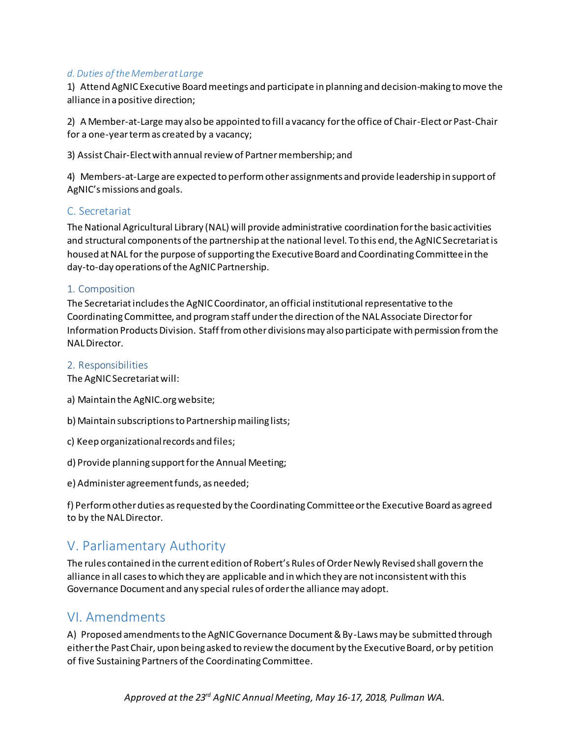#### *d. Duties of the Member at Large*

1) Attend AgNIC Executive Board meetings and participate in planning and decision-making to move the alliance in a positive direction;

2) A Member-at-Large may also be appointed to fill a vacancy for the office of Chair-Elect or Past-Chair for a one-year term as created by a vacancy;

3) Assist Chair-Elect with annual review of Partner membership; and

4) Members-at-Large are expected to perform other assignments and provide leadership in support of AgNIC's missions and goals.

#### C. Secretariat

The National Agricultural Library (NAL) will provide administrative coordination for the basic activities and structural components of the partnership at the national level. To this end, the AgNIC Secretariat is housed at NAL for the purpose of supporting the Executive Board and Coordinating Committee in the day-to-day operations of the AgNIC Partnership.

#### 1. Composition

The Secretariat includes the AgNIC Coordinator, an official institutional representative to the Coordinating Committee, and program staff under the direction of the NAL Associate Director for Information Products Division. Staff from other divisions may also participate with permission from the NAL Director.

2. Responsibilities

The AgNIC Secretariat will:

- a) Maintain the AgNIC.org website;
- b) Maintain subscriptions to Partnership mailing lists;
- c) Keep organizational records and files;
- d) Provide planning support for the Annual Meeting;
- e) Administer agreement funds, as needed;

f) Perform other duties as requested by the Coordinating Committee or the Executive Board as agreed to by the NAL Director.

## V. Parliamentary Authority

The rules contained in the current edition of Robert's Rules of Order Newly Revised shall govern the alliance in all cases to which they are applicable and in which they are not inconsistent with this Governance Document and any special rules of order the alliance may adopt.

## VI. Amendments

A) Proposed amendments to the AgNIC Governance Document & By-Laws may be submitted through either the Past Chair, upon being asked to review the document by the Executive Board, or by petition of five Sustaining Partners of the Coordinating Committee.